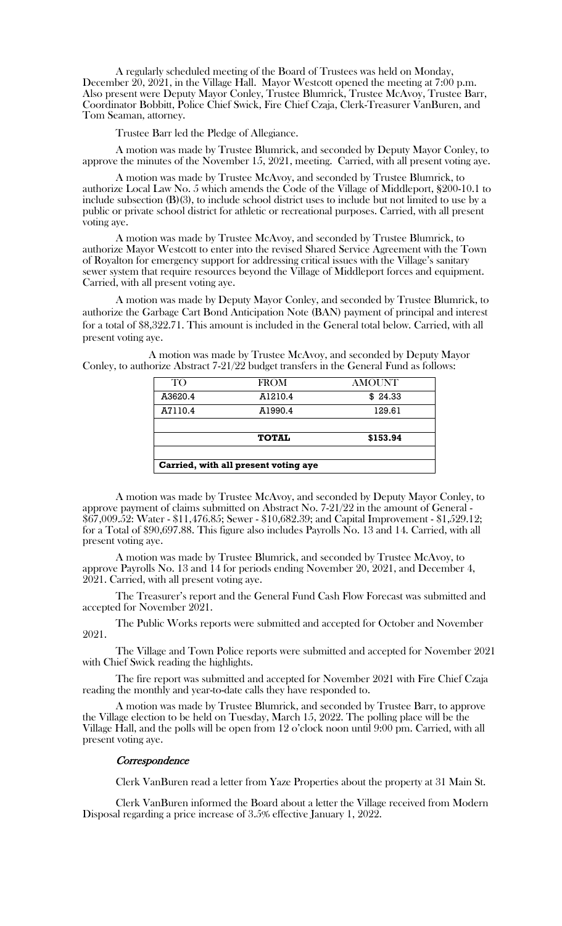A regularly scheduled meeting of the Board of Trustees was held on Monday, December 20, 2021, in the Village Hall. Mayor Westcott opened the meeting at 7:00 p.m. Also present were Deputy Mayor Conley, Trustee Blumrick, Trustee McAvoy, Trustee Barr, Coordinator Bobbitt, Police Chief Swick, Fire Chief Czaja, Clerk-Treasurer VanBuren, and Tom Seaman, attorney.

Trustee Barr led the Pledge of Allegiance.

A motion was made by Trustee Blumrick, and seconded by Deputy Mayor Conley, to approve the minutes of the November 15, 2021, meeting. Carried, with all present voting aye.

A motion was made by Trustee McAvoy, and seconded by Trustee Blumrick, to authorize Local Law No. 5 which amends the Code of the Village of Middleport, §200-10.1 to include subsection (B)(3), to include school district uses to include but not limited to use by a public or private school district for athletic or recreational purposes. Carried, with all present voting aye.

A motion was made by Trustee McAvoy, and seconded by Trustee Blumrick, to authorize Mayor Westcott to enter into the revised Shared Service Agreement with the Town of Royalton for emergency support for addressing critical issues with the Village's sanitary sewer system that require resources beyond the Village of Middleport forces and equipment. Carried, with all present voting aye.

A motion was made by Deputy Mayor Conley, and seconded by Trustee Blumrick, to authorize the Garbage Cart Bond Anticipation Note (BAN) payment of principal and interest for a total of \$8,322.71. This amount is included in the General total below. Carried, with all present voting aye.

A motion was made by Trustee McAvoy, and seconded by Deputy Mayor Conley, to authorize Abstract 7-21/22 budget transfers in the General Fund as follows:

| TO <sub>1</sub>                      | <b>FROM</b>  | <b>AMOUNT</b> |
|--------------------------------------|--------------|---------------|
| A3620.4                              | A1210.4      | \$24.33       |
| A7110.4                              | A1990.4      | 129.61        |
|                                      |              |               |
|                                      | <b>TOTAL</b> | \$153.94      |
|                                      |              |               |
| Carried, with all present voting aye |              |               |

A motion was made by Trustee McAvoy, and seconded by Deputy Mayor Conley, to approve payment of claims submitted on Abstract No. 7-21/22 in the amount of General - \$67,009.52: Water - \$11,476.85; Sewer - \$10,682.39; and Capital Improvement - \$1,529.12; for a Total of \$90,697.88. This figure also includes Payrolls No. 13 and 14. Carried, with all present voting aye.

A motion was made by Trustee Blumrick, and seconded by Trustee McAvoy, to approve Payrolls No. 13 and 14 for periods ending November 20, 2021, and December 4, 2021. Carried, with all present voting aye.

The Treasurer's report and the General Fund Cash Flow Forecast was submitted and accepted for November 2021.

The Public Works reports were submitted and accepted for October and November 2021.

The Village and Town Police reports were submitted and accepted for November 2021 with Chief Swick reading the highlights.

The fire report was submitted and accepted for November 2021 with Fire Chief Czaja reading the monthly and year-to-date calls they have responded to.

A motion was made by Trustee Blumrick, and seconded by Trustee Barr, to approve the Village election to be held on Tuesday, March 15, 2022. The polling place will be the Village Hall, and the polls will be open from 12 o'clock noon until 9:00 pm. Carried, with all present voting aye.

## **Correspondence**

Clerk VanBuren read a letter from Yaze Properties about the property at 31 Main St.

Clerk VanBuren informed the Board about a letter the Village received from Modern Disposal regarding a price increase of 3.5% effective January 1, 2022.